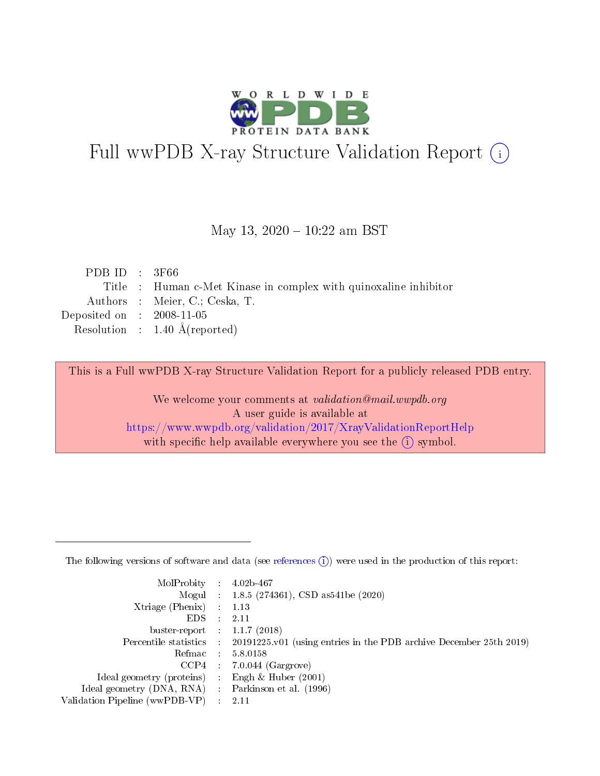

# Full wwPDB X-ray Structure Validation Report (i)

#### May 13, 2020 - 10:22 am BST

| PDB ID : $3F66$                      |                                                                  |
|--------------------------------------|------------------------------------------------------------------|
|                                      | Title : Human c-Met Kinase in complex with quinoxaline inhibitor |
|                                      | Authors : Meier, C.; Ceska, T.                                   |
| Deposited on $\therefore$ 2008-11-05 |                                                                  |
|                                      | Resolution : $1.40 \text{ Å}$ (reported)                         |
|                                      |                                                                  |

This is a Full wwPDB X-ray Structure Validation Report for a publicly released PDB entry.

We welcome your comments at validation@mail.wwpdb.org A user guide is available at <https://www.wwpdb.org/validation/2017/XrayValidationReportHelp> with specific help available everywhere you see the  $(i)$  symbol.

The following versions of software and data (see [references](https://www.wwpdb.org/validation/2017/XrayValidationReportHelp#references)  $(1)$ ) were used in the production of this report:

| MolProbity :                   |               | $4.02b - 467$                                                                |
|--------------------------------|---------------|------------------------------------------------------------------------------|
|                                |               | Mogul : 1.8.5 (274361), CSD as 541be (2020)                                  |
| $X$ triage (Phenix) :          |               | 1.13                                                                         |
| EDS.                           |               | 2.11                                                                         |
| buster-report : $1.1.7$ (2018) |               |                                                                              |
| Percentile statistics :        |               | $20191225 \text{ v}01$ (using entries in the PDB archive December 25th 2019) |
| Refmac :                       |               | 5.8.0158                                                                     |
| $CCP4$ :                       |               | $7.0.044$ (Gargrove)                                                         |
| Ideal geometry (proteins) :    |               | Engh $\&$ Huber (2001)                                                       |
| Ideal geometry (DNA, RNA) :    |               | Parkinson et al. (1996)                                                      |
| Validation Pipeline (wwPDB-VP) | $\mathcal{L}$ | 2.11                                                                         |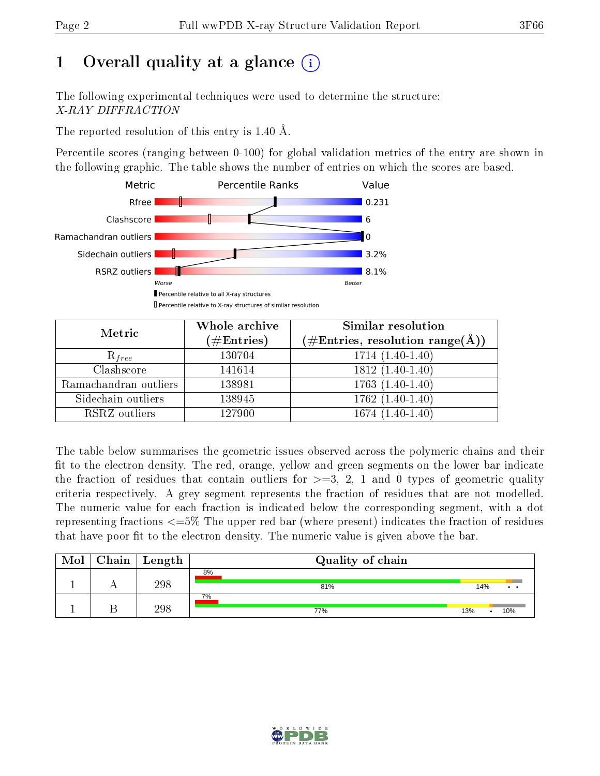# 1 [O](https://www.wwpdb.org/validation/2017/XrayValidationReportHelp#overall_quality)verall quality at a glance  $(i)$

The following experimental techniques were used to determine the structure: X-RAY DIFFRACTION

The reported resolution of this entry is 1.40 Å.

Percentile scores (ranging between 0-100) for global validation metrics of the entry are shown in the following graphic. The table shows the number of entries on which the scores are based.



| Metric                | Whole archive<br>$(\#\text{Entries})$ | Similar resolution<br>$(\# \text{Entries}, \text{resolution range}(\text{\AA}))$ |
|-----------------------|---------------------------------------|----------------------------------------------------------------------------------|
| $R_{free}$            | 130704                                | $1714(1.40-1.40)$                                                                |
| Clashscore            | 141614                                | $1812(1.40-1.40)$                                                                |
| Ramachandran outliers | 138981                                | $1763(1.40-1.40)$                                                                |
| Sidechain outliers    | 138945                                | $1762(1.40-1.40)$                                                                |
| RSRZ outliers         | 127900                                | $1674(1.40-1.40)$                                                                |

The table below summarises the geometric issues observed across the polymeric chains and their fit to the electron density. The red, orange, yellow and green segments on the lower bar indicate the fraction of residues that contain outliers for  $>=3, 2, 1$  and 0 types of geometric quality criteria respectively. A grey segment represents the fraction of residues that are not modelled. The numeric value for each fraction is indicated below the corresponding segment, with a dot representing fractions  $\epsilon=5\%$  The upper red bar (where present) indicates the fraction of residues that have poor fit to the electron density. The numeric value is given above the bar.

| Mol | ${\rm Chain \mid Length}$ | Quality of chain |            |
|-----|---------------------------|------------------|------------|
|     | 298                       | 8%<br>81%        | 14%        |
|     | 298                       | 7%<br>77%        | 13%<br>10% |

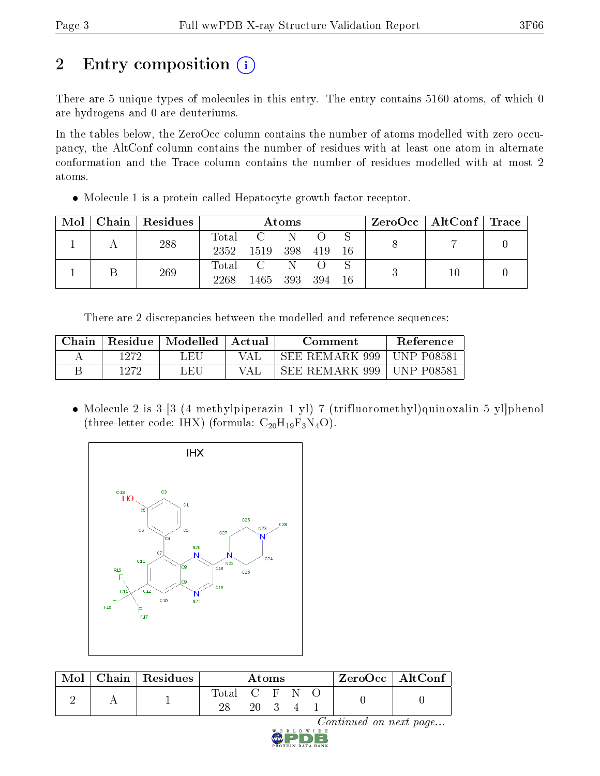# 2 Entry composition (i)

There are 5 unique types of molecules in this entry. The entry contains 5160 atoms, of which 0 are hydrogens and 0 are deuteriums.

In the tables below, the ZeroOcc column contains the number of atoms modelled with zero occupancy, the AltConf column contains the number of residues with at least one atom in alternate conformation and the Trace column contains the number of residues modelled with at most 2 atoms.

Molecule 1 is a protein called Hepatocyte growth factor receptor.

| $\bf{Mol}$ |  | Chain   Residues | Atoms        |          |         |      |      |    | $ZeroOcc \mid AltConf \mid Trace$ |  |
|------------|--|------------------|--------------|----------|---------|------|------|----|-----------------------------------|--|
|            |  | 288              |              | Total C  | -N      |      |      |    |                                   |  |
|            |  |                  | 2352         | - 1519 - | 398 419 |      | - 16 |    |                                   |  |
|            |  | 269              |              | Total C  | -N      |      |      |    |                                   |  |
|            |  | 2268             | 1465 393 394 |          |         | - 16 |      | 10 |                                   |  |

There are 2 discrepancies between the modelled and reference sequences:

| Chain | Residue | Modelled | Actual | Comment        | <b>Reference</b> |
|-------|---------|----------|--------|----------------|------------------|
|       | 1272    | LEU      | VAI    | SEE REMARK 999 | UNP P08581       |
|       | 1979    | LEU      | VA I   | SEE REMARK 999 | UNP P08581       |

 Molecule 2 is 3-[3-(4-methylpiperazin-1-yl)-7-(trifluoromethyl)quinoxalin-5-yl]phenol (three-letter code: IHX) (formula:  $C_{20}H_{19}F_3N_4O$ ).



| Mol | Chain   Residues |             | Atoms |  | $\rm ZeroOcc \mid AltConf$ |  |
|-----|------------------|-------------|-------|--|----------------------------|--|
|     |                  | Total C F N |       |  |                            |  |

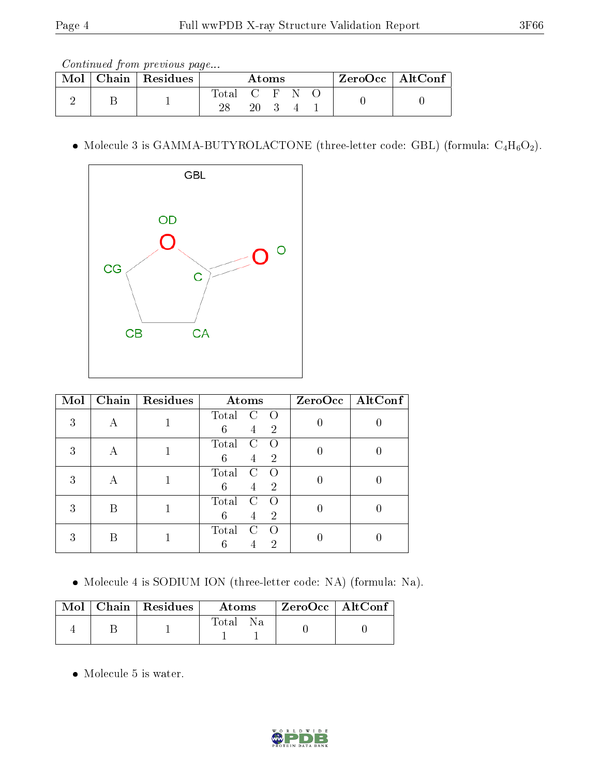Continued from previous page...

| Mol | Chain   Residues |               | Atoms |  |  | ZeroOcc   AltConf |
|-----|------------------|---------------|-------|--|--|-------------------|
|     |                  | Total C F N O |       |  |  |                   |
|     |                  |               |       |  |  |                   |

 $\bullet$  Molecule 3 is GAMMA-BUTYROLACTONE (three-letter code: GBL) (formula:  $\rm{C_4H_6O_2}).$ 



| Mol | Chain | Residues | Atoms                                                | $ZeroOcc \   \$ AltConf |
|-----|-------|----------|------------------------------------------------------|-------------------------|
| 3   |       |          | Total<br>C<br>$\bigcirc$<br>6<br>$\overline{2}$<br>4 |                         |
| 3   | А     |          | Total<br>C<br>$\bigcirc$<br>6<br>$\overline{2}$<br>4 |                         |
| 3   | A     |          | Total<br>C<br>$\bigcirc$<br>$\overline{2}$<br>6<br>4 |                         |
| 3   | B     |          | Total<br>C<br>6<br>2<br>$\overline{4}$               |                         |
| 3   |       |          | Total<br>C<br>$\left( \right)$<br>2                  |                         |

Molecule 4 is SODIUM ION (three-letter code: NA) (formula: Na).

|  | $\text{Mol}$   Chain   Residues | <b>Atoms</b>         | ZeroOcc   AltConf |  |
|--|---------------------------------|----------------------|-------------------|--|
|  |                                 | Total<br>$N_{\rm A}$ |                   |  |

Molecule 5 is water.

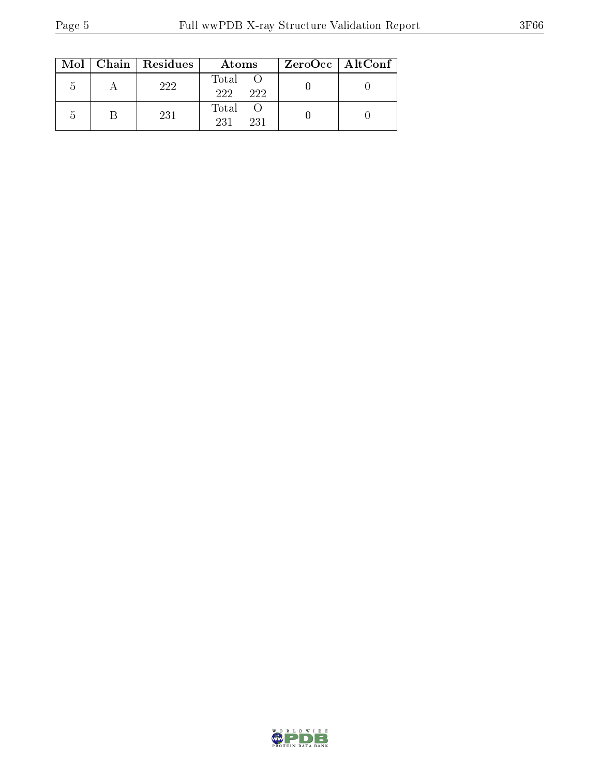|               | $Mol$   Chain   Residues | Atoms               | ZeroOcc   AltConf |  |
|---------------|--------------------------|---------------------|-------------------|--|
| h             | 222                      | Total<br>222<br>222 |                   |  |
| $\mathcal{L}$ | 231                      | Total<br>231<br>231 |                   |  |

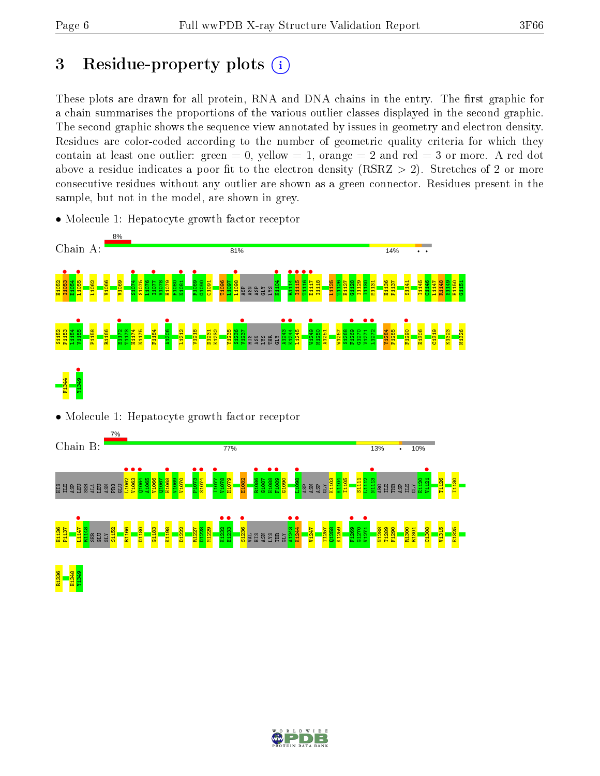# 3 Residue-property plots  $(i)$

These plots are drawn for all protein, RNA and DNA chains in the entry. The first graphic for a chain summarises the proportions of the various outlier classes displayed in the second graphic. The second graphic shows the sequence view annotated by issues in geometry and electron density. Residues are color-coded according to the number of geometric quality criteria for which they contain at least one outlier: green  $= 0$ , yellow  $= 1$ , orange  $= 2$  and red  $= 3$  or more. A red dot above a residue indicates a poor fit to the electron density (RSRZ  $> 2$ ). Stretches of 2 or more consecutive residues without any outlier are shown as a green connector. Residues present in the sample, but not in the model, are shown in grey.



• Molecule 1: Hepatocyte growth factor receptor







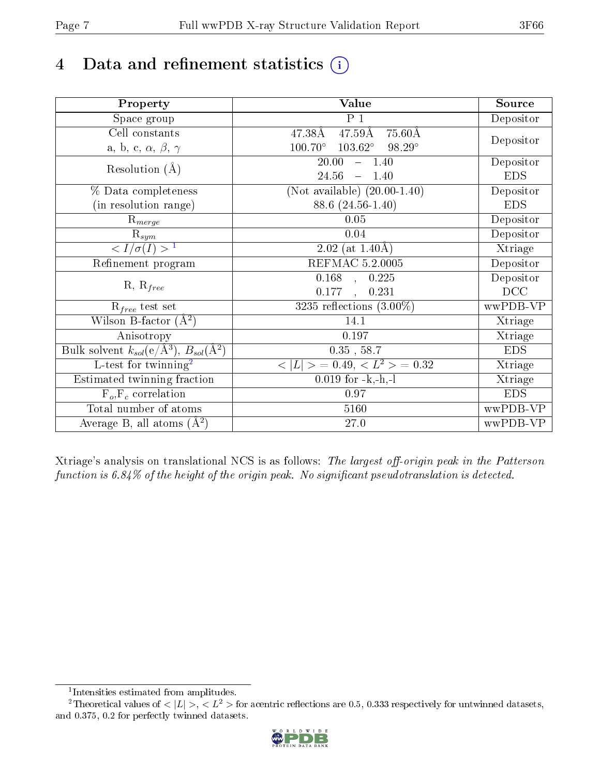# 4 Data and refinement statistics  $(i)$

| Property                                                             | Value                                                    | Source     |
|----------------------------------------------------------------------|----------------------------------------------------------|------------|
| $\overline{\text{Space}}$ group                                      | $P_1$                                                    | Depositor  |
| Cell constants                                                       | $47.59\text{\AA}$<br>$75.60\text{\AA}$<br>47.38Å         |            |
| a, b, c, $\alpha$ , $\beta$ , $\gamma$                               | $103.62^\circ$<br>$98.29^\circ$<br>$100.70^\circ$        | Depositor  |
| Resolution $(A)$                                                     | 20.00<br>$-1.40$                                         | Depositor  |
|                                                                      | 24.56<br>1.40<br>$\equiv$                                | <b>EDS</b> |
| % Data completeness                                                  | (Not available) $(20.00-1.40)$                           | Depositor  |
| (in resolution range)                                                | 88.6 (24.56-1.40)                                        | <b>EDS</b> |
| $R_{merge}$                                                          | 0.05                                                     | Depositor  |
| $\mathrm{R}_{sym}$                                                   | $0.04\,$                                                 | Depositor  |
| $\sqrt{I/\sigma}(I) > 1$                                             | $2.02$ (at 1.40Å)                                        | Xtriage    |
| Refinement program                                                   | <b>REFMAC 5.2.0005</b>                                   | Depositor  |
|                                                                      | 0.168<br>0.225<br>$\mathbf{A}$                           | Depositor  |
| $R, R_{free}$                                                        | 0.177<br>0.231<br>$\ddot{\phantom{a}}$                   | DCC        |
| $R_{free}$ test set                                                  | 3235 reflections $(3.00\%)$                              | wwPDB-VP   |
| Wilson B-factor $(A^2)$                                              | 14.1                                                     | Xtriage    |
| Anisotropy                                                           | 0.197                                                    | Xtriage    |
| Bulk solvent $k_{sol}(e/\mathring{A}^3)$ , $B_{sol}(\mathring{A}^2)$ | $0.35$ , $58.7$                                          | <b>EDS</b> |
| L-test for twinning <sup>2</sup>                                     | $\langle  L  \rangle = 0.49, \langle L^2 \rangle = 0.32$ | Xtriage    |
| Estimated twinning fraction                                          | $0.019$ for $-k,-h,-l$                                   | Xtriage    |
| $F_o, F_c$ correlation                                               | 0.97                                                     | <b>EDS</b> |
| Total number of atoms                                                | 5160                                                     | wwPDB-VP   |
| Average B, all atoms $(A^2)$                                         | 27.0                                                     | wwPDB-VP   |

Xtriage's analysis on translational NCS is as follows: The largest off-origin peak in the Patterson function is  $6.84\%$  of the height of the origin peak. No significant pseudotranslation is detected.

<sup>&</sup>lt;sup>2</sup>Theoretical values of  $\langle |L| \rangle$ ,  $\langle L^2 \rangle$  for acentric reflections are 0.5, 0.333 respectively for untwinned datasets, and 0.375, 0.2 for perfectly twinned datasets.



<span id="page-6-1"></span><span id="page-6-0"></span><sup>1</sup> Intensities estimated from amplitudes.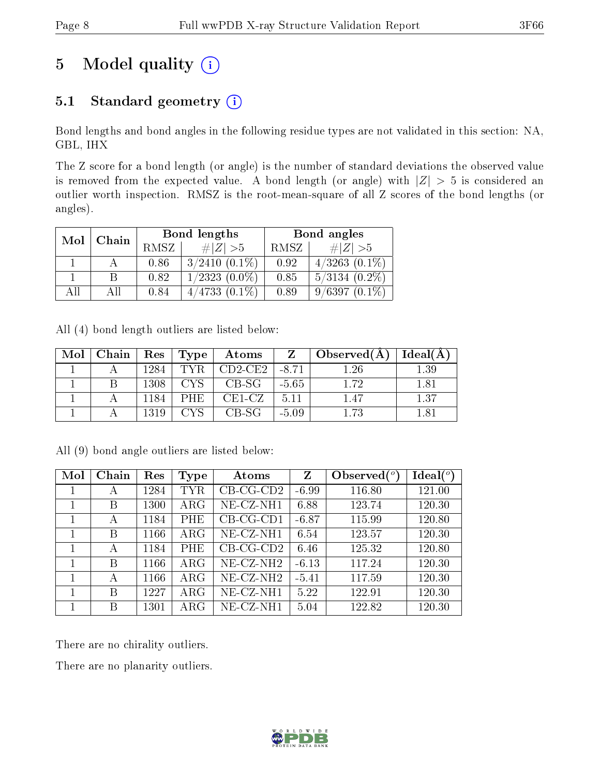# 5 Model quality  $(i)$

### 5.1 Standard geometry (i)

Bond lengths and bond angles in the following residue types are not validated in this section: NA, GBL, IHX

The Z score for a bond length (or angle) is the number of standard deviations the observed value is removed from the expected value. A bond length (or angle) with  $|Z| > 5$  is considered an outlier worth inspection. RMSZ is the root-mean-square of all Z scores of the bond lengths (or angles).

|     | Chain | Bond lengths |                    | Bond angles |                     |  |
|-----|-------|--------------|--------------------|-------------|---------------------|--|
| Mol |       | RMSZ         | $\# Z  > 5$        | RMSZ        | # $ Z  > 5$         |  |
|     |       | 0.86         | $3/2410(0.1\%)$    | 0.92        | $4/3263$ $(0.1\%)$  |  |
|     |       | 0.82         | $1/2323$ $(0.0\%)$ | 0.85        | $5/3134$ $(0.2\%)$  |  |
| All | A II  | 0.84         | $4/4733(0.1\%)$    | 0.89        | 9/6397<br>$(0.1\%)$ |  |

All (4) bond length outliers are listed below:

| Mol | $Chain$ $\mid$ |      | Res   Type | $\boldsymbol{\mathrm{Atoms}}$ | Z       | Observed $(A)$ | Ideal(A) |
|-----|----------------|------|------------|-------------------------------|---------|----------------|----------|
|     |                | 1284 | TVR.       | $CD2-CE2$                     | -8.71   | 1.26           | 1.39     |
|     |                | 1308 | CVS.       | CB-SG                         | $-5.65$ | 1.72           | 1.81     |
|     |                | 1184 | PHE        | $CE1-CZ$                      | 5.11    | 1.47           | 1.37     |
|     |                | 1319 |            | CB-SG                         | $-5.09$ | 1.73           | 181      |

All (9) bond angle outliers are listed below:

| Mol | Chain | Res  | Type        | Atoms        | Z       | Observed $\binom{o}{c}$ | Ideal $(^\circ)$ |
|-----|-------|------|-------------|--------------|---------|-------------------------|------------------|
| 1   | А     | 1284 | <b>TYR</b>  | $CB-CG-CD2$  | $-6.99$ | 116.80                  | 121.00           |
|     | B     | 1300 | $\rm{ARG}$  | $NE- CZ-NH1$ | 6.88    | 123.74                  | 120.30           |
|     | А     | 1184 | <b>PHE</b>  | CB-CG-CD1    | $-6.87$ | 115.99                  | 120.80           |
|     | B     | 1166 | $\rm{ARG}$  | $NE- CZ-NH1$ | 6.54    | 123.57                  | 120.30           |
|     | А     | 1184 | PHE         | $CB-CG-CD2$  | 6.46    | 125.32                  | 120.80           |
| 1   | B     | 1166 | ${\rm ARG}$ | $NE- CZ-NH2$ | $-6.13$ | 117.24                  | 120.30           |
|     | А     | 1166 | $\rm{ARG}$  | $NE- CZ-NH2$ | $-5.41$ | 117.59                  | 120.30           |
|     | B     | 1227 | $\rm{ARG}$  | $NE- CZ-NH1$ | 5.22    | 122.91                  | 120.30           |
|     | B     | 1301 | ${\rm ARG}$ | $NE- CZ-NH1$ | 5.04    | 122.82                  | 120.30           |

There are no chirality outliers.

There are no planarity outliers.

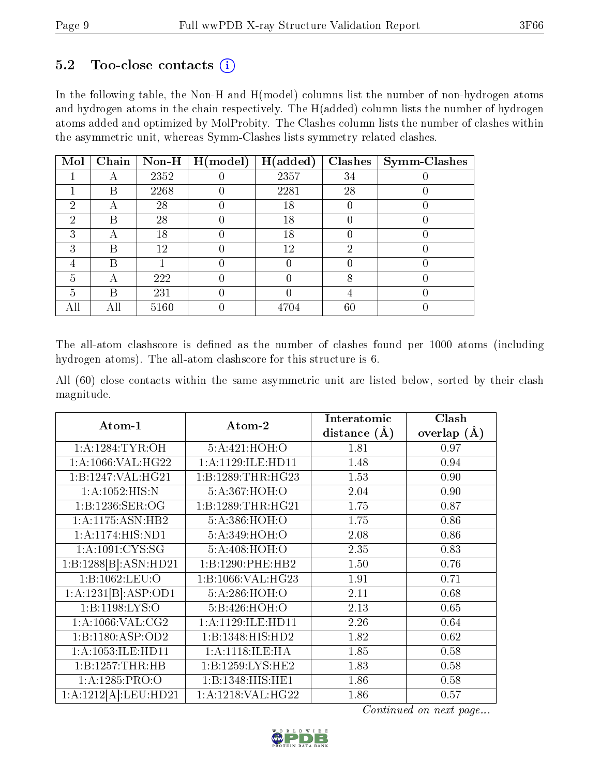### 5.2 Too-close contacts  $(i)$

In the following table, the Non-H and H(model) columns list the number of non-hydrogen atoms and hydrogen atoms in the chain respectively. The H(added) column lists the number of hydrogen atoms added and optimized by MolProbity. The Clashes column lists the number of clashes within the asymmetric unit, whereas Symm-Clashes lists symmetry related clashes.

| Mol | Chain | $\bf Non-H$ | H (model) | H(added) | Clashes | Symm-Clashes |
|-----|-------|-------------|-----------|----------|---------|--------------|
|     |       | 2352        |           | 2357     | 34      |              |
|     | В     | 2268        |           | 2281     | 28      |              |
| 2   | А     | 28          |           | 18       |         |              |
| 2   | В     | 28          |           | 18       |         |              |
| 3   |       | 18          |           | 18       |         |              |
| 3   | В     | 12          |           | 12       | 2       |              |
|     | В     |             |           |          |         |              |
| 5   | А     | 222         |           |          |         |              |
| 5   | В     | 231         |           |          |         |              |
| All |       | 5160        |           | 4704     | 60      |              |

The all-atom clashscore is defined as the number of clashes found per 1000 atoms (including hydrogen atoms). The all-atom clashscore for this structure is 6.

All (60) close contacts within the same asymmetric unit are listed below, sorted by their clash magnitude.

| Atom-1               | Atom-2            | Interatomic    | Clash           |
|----------------------|-------------------|----------------|-----------------|
|                      |                   | distance $(A)$ | overlap $(\AA)$ |
| 1: A: 1284: TYR: OH  | 5:A:421:HOH:O     | 1.81           | 0.97            |
| 1:A:1066:VAL:HG22    | 1:A:1129:ILE:HD11 | 1.48           | 0.94            |
| 1:B:1247:VAL:HG21    | 1:B:1289:THR:HG23 | 1.53           | 0.90            |
| 1:A:1052:HIS:N       | 5:A:367:HOH:O     | 2.04           | 0.90            |
| 1:B:1236:SER:OG      | 1:B:1289:THR:HG21 | 1.75           | 0.87            |
| 1:A:1175:ASN:HB2     | 5:A:386:HOH:O     | 1.75           | 0.86            |
| 1: A: 1174: HIS: ND1 | 5:A:349:HOH:O     | 2.08           | 0.86            |
| 1: A: 1091: CYS:SG   | 5:A:408:HOH:O     | 2.35           | 0.83            |
| 1:B:1288[B]:ASN:HD21 | 1:B:1290:PHE:HB2  | 1.50           | 0.76            |
| 1:B:1062:LEU:O       | 1:B:1066:VAL:HG23 | 1.91           | 0.71            |
| 1:A:1231[B]:ASP:OD1  | 5:A:286:HOH:O     | 2.11           | 0.68            |
| 1:B:1198:LYS:O       | 5:B:426:HOH:O     | 2.13           | 0.65            |
| 1: A: 1066: VAL: CG2 | 1:A:1129:ILE:HD11 | 2.26           | 0.64            |
| 1:B:1180:ASP:OD2     | 1:B:1348:HIS:HD2  | 1.82           | 0.62            |
| 1:A:1053:ILE:HD11    | 1:A:1118:ILE:HA   | 1.85           | 0.58            |
| 1:B:1257:THR:HB      | 1:B:1259:LYS:HE2  | 1.83           | 0.58            |
| 1:A:1285:PRO:O       | 1:B:1348:HIS:HE1  | 1.86           | 0.58            |
| 1:A:1212[A]:LEU:HD21 | 1:A:1218:VAL:HG22 | 1.86           | 0.57            |

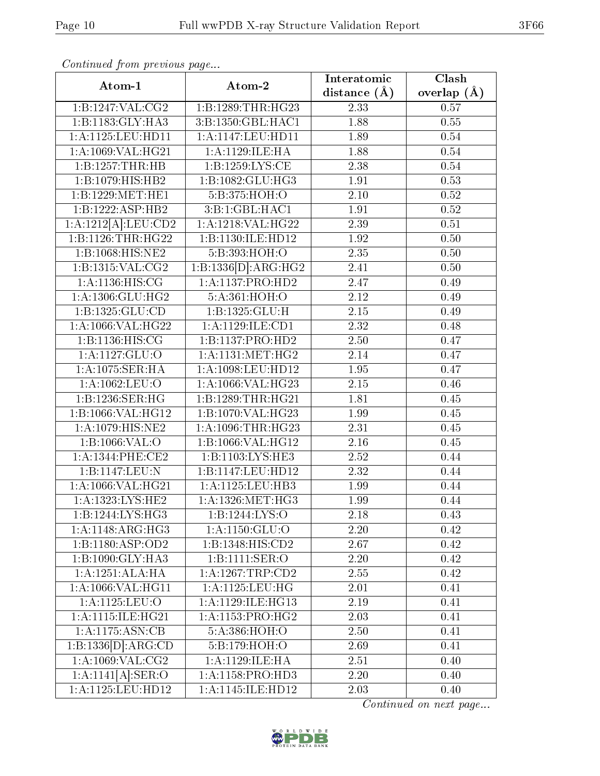| $\mathbf{r}$<br>Atom-1               | Atom-2                | Interatomic       | <b>Clash</b>  |
|--------------------------------------|-----------------------|-------------------|---------------|
|                                      |                       | distance $(A)$    | overlap $(A)$ |
| 1:B:1247:VAL:CG2                     | 1:B:1289:THR:HG23     | 2.33              | 0.57          |
| 1:B:1183:GLY:HA3                     | 3:B:1350:GBL:HAC1     | 1.88              | 0.55          |
| 1:A:1125:LEU:HD11                    | 1:A:1147:LEU:HD11     | 1.89              | $0.54\,$      |
| 1:A:1069:VAL:HG21                    | 1: A: 1129: ILE: HA   | 1.88              | 0.54          |
| 1:B:1257:THR:HB                      | 1:B:1259:LYS:CE       | 2.38              | 0.54          |
| $1:B:1079:HIS:H\overline{B2}$        | 1:B:1082:GLU:HG3      | 1.91              | 0.53          |
| 1:B:1229:MET:HE1                     | 5:B:375:HOH:O         | 2.10              | 0.52          |
| 1:B:1222:ASP:HB2                     | 3:B:1:GBL:HAC1        | 1.91              | 0.52          |
| 1:A:1212[A]:LEU:CD2                  | 1:A:1218:VAL:HG22     | $2.\overline{39}$ | 0.51          |
| 1:B:1126:THR:HG22                    | 1:B:1130:ILE:HD12     | 1.92              | 0.50          |
| 1:B:1068:HIS:NE2                     | 5:B:393:HOH:O         | 2.35              | 0.50          |
| 1:B:1315:VAL:CG2                     | 1:B:1336[D]:ARG:HG2   | 2.41              | 0.50          |
| 1: A: 1136: HIS: CG                  | 1:A:1137:PRO:HD2      | 2.47              | 0.49          |
| 1:A:1306:GLU:HG2                     | 5:A:361:HOH:O         | $\overline{2.12}$ | 0.49          |
| 1: B: 1325: GLU: CD                  | 1:B:1325:GLU:H        | 2.15              | 0.49          |
| 1: A: 1066: VAL:HG22                 | 1:A:1129:ILE:CD1      | 2.32              | 0.48          |
| 1:Bi:1136:HIS:CG                     | 1:B:1137:PRO:HD2      | 2.50              | 0.47          |
| 1:A:1127:GLU:O                       | 1: A:1131: MET:HG2    | 2.14              | 0.47          |
| 1: A:1075: SER:HA                    | 1:A:1098:LEU:HD12     | 1.95              | 0.47          |
| 1:A:1062:LEU:O                       | 1:A:1066:VAL:HG23     | 2.15              | 0.46          |
| 1:B:1236:SER:HG                      | 1:B:1289:THR:HG21     | 1.81              | 0.45          |
| 1:B:1066:VAL:HG12                    | 1:B:1070:VAL:HG23     | 1.99              | 0.45          |
| 1: A: 1079: HIS: NE2                 | 1: A: 1096: THR: HG23 | 2.31              | 0.45          |
| 1:B:1066:VAL:O                       | 1:B:1066:VAL:HG12     | 2.16              | 0.45          |
| 1:A:1344:PHE:CE2                     | 1:B:1103:LYS:HE3      | 2.52              | 0.44          |
| 1:B:1147:LEU:N                       | 1:B:1147:LEU:HD12     | 2.32              | 0.44          |
| 1:A:1066:VAL:HG21                    | 1:A:1125:LEU:HB3      | 1.99              | 0.44          |
| $1:A:1323:\overline{\text{LYS:HE2}}$ | 1:A:1326:MET:HG3      | 1.99              | 0.44          |
| 1:B:1244:LYS:HG3                     | 1:B:1244:LYS:O        | 2.18              | 0.43          |
| 1:A:1148:ARG:HG3                     | 1:A:1150:GLU:O        | 2.20              | 0.42          |
| 1:B:1180:ASP:OD2                     | 1:B:1348:HIS:CD2      | 2.67              | 0.42          |
| 1:B:1090:GLY:HA3                     | 1:B:1111:SER:O        | 2.20              | 0.42          |
| 1:A:1251:ALA:HA                      | 1: A: 1267: TRP: CD2  | 2.55              | 0.42          |
| 1:A:1066:VAL:HG11                    | 1: A: 1125: LEU: HG   | 2.01              | 0.41          |
| 1:A:1125:LEU:O                       | 1: A: 1129: ILE: HG13 | 2.19              | 0.41          |
| 1:A:1115:ILE:HG21                    | 1:A:1153:PRO:HG2      | 2.03              | 0.41          |
| 1:A:1175:ASN:CB                      | 5:A:386:HOH:O         | 2.50              | 0.41          |
| 1:B:1336[D]:ARG:CD                   | 5:B:179:HOH:O         | 2.69              | 0.41          |
| $1:$ A:1069:VAL:CG2                  | 1:A:1129:ILE:HA       | 2.51              | 0.40          |
| 1:A:1141[A]:SER:O                    | 1: A:1158: PRO:HD3    | 2.20              | 0.40          |
| 1:A:1125:LEU:HD12                    | 1:A:1145:ILE:HD12     | 2.03              | 0.40          |

Continued from previous page...

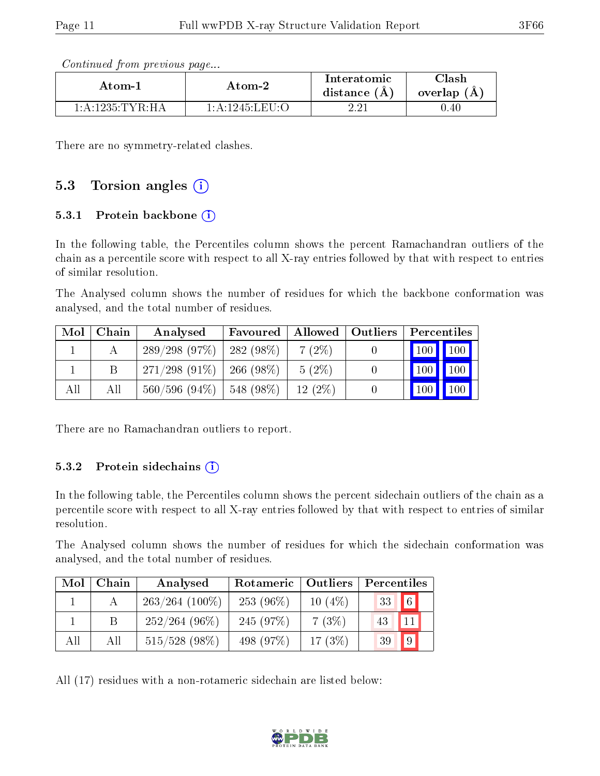| Continued from previous page |  |  |
|------------------------------|--|--|
|                              |  |  |

| Atom-1             | Atom-2                                 | Interatomic<br>distance $(A)$ | Clash<br>overlap (A |
|--------------------|----------------------------------------|-------------------------------|---------------------|
| $1:$ A:1235:TYR:HA | $1:$ A $:$ 1245 $\cdot$ LEII $\cdot$ O | റെ                            | $0.40\,$            |

There are no symmetry-related clashes.

### 5.3 Torsion angles (i)

#### 5.3.1 Protein backbone  $(i)$

In the following table, the Percentiles column shows the percent Ramachandran outliers of the chain as a percentile score with respect to all X-ray entries followed by that with respect to entries of similar resolution.

The Analysed column shows the number of residues for which the backbone conformation was analysed, and the total number of residues.

| Mol | Chain | Analysed        | Favoured      |          | Allowed   Outliers | Percentiles                     |     |
|-----|-------|-----------------|---------------|----------|--------------------|---------------------------------|-----|
|     |       | 289/298(97%)    | $282(98\%)$   | $7(2\%)$ |                    | 100   100                       |     |
|     |       | $271/298(91\%)$ | 266 (98 $%$ ) | $5(2\%)$ |                    | $\vert$ 100 $\vert$ 100 $\vert$ |     |
| All | Аll   | $560/596(94\%)$ | $ 548(98\%)$  | 12(2%)   |                    | $\vert$ 100 $\vert$             | 100 |

There are no Ramachandran outliers to report.

#### 5.3.2 Protein sidechains  $(i)$

In the following table, the Percentiles column shows the percent sidechain outliers of the chain as a percentile score with respect to all X-ray entries followed by that with respect to entries of similar resolution.

The Analysed column shows the number of residues for which the sidechain conformation was analysed, and the total number of residues.

| Mol | Chain | Analysed          | Rotameric   Outliers |           | Percentiles      |
|-----|-------|-------------------|----------------------|-----------|------------------|
|     |       | $263/264$ (100\%) | $253(96\%)$          | $10(4\%)$ | $\sqrt{6}$<br>33 |
|     | В     | $252/264(96\%)$   | 245 (97%)            | 7(3%)     | 11<br>43         |
| All | Аll   | $515/528$ (98%)   | 498 (97%)            | 17 $(3%)$ | $\sqrt{9}$<br>39 |

All (17) residues with a non-rotameric sidechain are listed below:

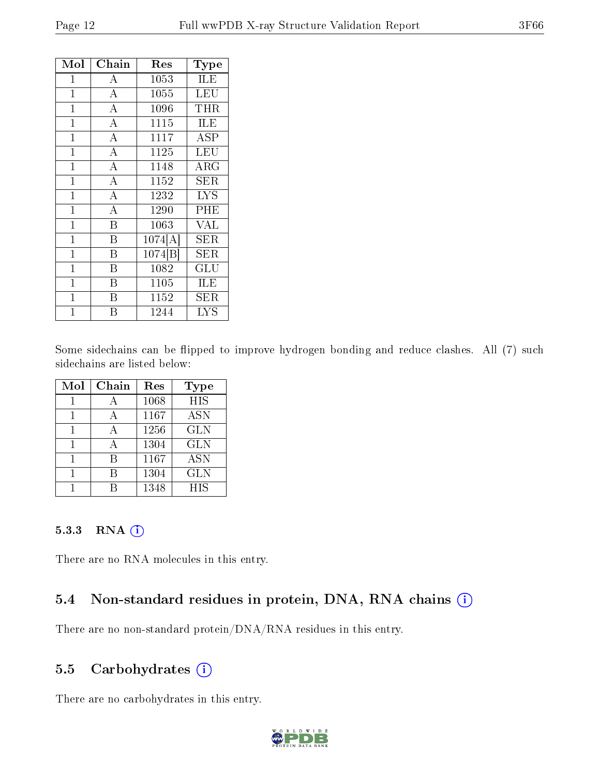| Mol            | Chain              | $\operatorname{Res}% \left( \mathcal{N}\right) \equiv\operatorname{Res}(\mathcal{N}_{0})\cap\mathcal{N}_{1}$ | Type                 |
|----------------|--------------------|--------------------------------------------------------------------------------------------------------------|----------------------|
| 1              | А                  | 1053                                                                                                         | <b>ILE</b>           |
| $\mathbf 1$    | $\overline{A}$     | 1055                                                                                                         | LEU                  |
| $\mathbf{1}$   | $\overline{\rm A}$ | 1096                                                                                                         | THR                  |
| $\mathbf{1}$   | $\overline{\rm A}$ | 1115                                                                                                         | ILE                  |
| $\mathbf{1}$   | $\overline{\rm A}$ | 1117                                                                                                         | ASP                  |
| $\mathbf 1$    | $\overline{A}$     | 1125                                                                                                         | LEU                  |
| $\mathbf{1}$   | $\overline{\rm A}$ | 1148                                                                                                         | ${\rm ARG}$          |
| $\mathbf{1}$   | $\overline{\rm A}$ | 1152                                                                                                         | SER                  |
| $\mathbf 1$    | $\overline{\rm A}$ | 1232                                                                                                         | LYS                  |
| $\mathbf{1}$   | $\overline{\rm A}$ | 1290                                                                                                         | PHE                  |
| $\overline{1}$ | B                  | 1063                                                                                                         | $\rm V\overline{AL}$ |
| $\overline{1}$ | B                  | 1074[A]                                                                                                      | SER                  |
| $\mathbf{1}$   | B                  | 1074[B]                                                                                                      | ${\rm SER}$          |
| $\mathbf{1}$   | B                  | 1082                                                                                                         | GLU                  |
| $\mathbf{1}$   | B                  | 1105                                                                                                         | ILE                  |
| 1              | В                  | 1152                                                                                                         | ${\rm SER}$          |
| 1              | В                  | 1244                                                                                                         | LYS                  |

Some sidechains can be flipped to improve hydrogen bonding and reduce clashes. All (7) such sidechains are listed below:

| Mol | Chain | Res  | Type             |
|-----|-------|------|------------------|
|     |       | 1068 | $\overline{HIS}$ |
|     |       | 1167 | <b>ASN</b>       |
|     |       | 1256 | <b>GLN</b>       |
|     |       | 1304 | <b>GLN</b>       |
|     | R     | 1167 | <b>ASN</b>       |
|     |       | 1304 | <b>GLN</b>       |
|     |       | 1348 | <b>HIS</b>       |

#### 5.3.3 RNA [O](https://www.wwpdb.org/validation/2017/XrayValidationReportHelp#rna)i

There are no RNA molecules in this entry.

#### 5.4 Non-standard residues in protein, DNA, RNA chains (i)

There are no non-standard protein/DNA/RNA residues in this entry.

#### 5.5 Carbohydrates  $(i)$

There are no carbohydrates in this entry.

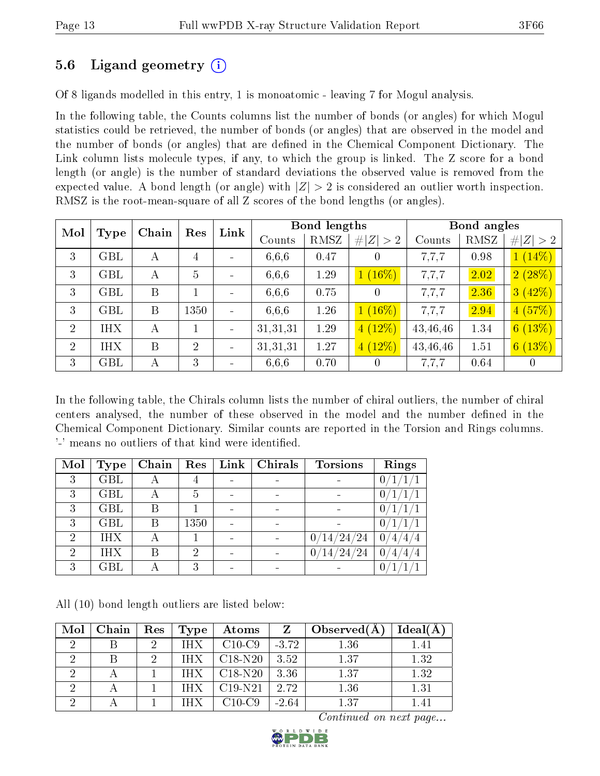### 5.6 Ligand geometry (i)

Of 8 ligands modelled in this entry, 1 is monoatomic - leaving 7 for Mogul analysis.

In the following table, the Counts columns list the number of bonds (or angles) for which Mogul statistics could be retrieved, the number of bonds (or angles) that are observed in the model and the number of bonds (or angles) that are dened in the Chemical Component Dictionary. The Link column lists molecule types, if any, to which the group is linked. The Z score for a bond length (or angle) is the number of standard deviations the observed value is removed from the expected value. A bond length (or angle) with  $|Z| > 2$  is considered an outlier worth inspection. RMSZ is the root-mean-square of all Z scores of the bond lengths (or angles).

| Mol            |                      | Chain |                | Link<br>Res |          | <b>Bond lengths</b> |             | Bond angles |      |             |
|----------------|----------------------|-------|----------------|-------------|----------|---------------------|-------------|-------------|------|-------------|
|                | Type                 |       |                |             | Counts   | RMSZ                | # $ Z  > 2$ | Counts      | RMSZ | # $ Z  > 2$ |
| 3              | <b>GBL</b>           | А     | $\overline{4}$ |             | 6,6,6    | 0.47                |             | 7,7,7       | 0.98 | $1(14\%)$   |
| 3              | <b>GBL</b>           | А     | $\overline{5}$ |             | 6,6,6    | 1.29                | $1(16\%)$   | 7,7,7       | 2.02 | 2(28%)      |
| 3              | <b>GBL</b>           | B     |                |             | 6,6,6    | 0.75                | 0           | 7,7,7       | 2.36 | 3(42%)      |
| 3              | $\operatorname{GBL}$ | B     | 1350           |             | 6,6,6    | 1.26                | $1(16\%)$   | 7,7,7       | 2.94 | 4(57%)      |
| 2              | <b>IHX</b>           | А     |                |             | 31,31,31 | 1.29                | $4(12\%)$   | 43,46,46    | 1.34 | 6(13%)      |
| $\overline{2}$ | <b>IHX</b>           | B     | $\overline{2}$ |             | 31,31,31 | 1.27                | $4(12\%)$   | 43,46,46    | 1.51 | 6(13%)      |
| 3              | $\operatorname{GBL}$ | А     | 3              |             | 6,6,6    | 0.70                | $\cup$      | 7.7.7       | 0.64 | $\theta$    |

In the following table, the Chirals column lists the number of chiral outliers, the number of chiral centers analysed, the number of these observed in the model and the number defined in the Chemical Component Dictionary. Similar counts are reported in the Torsion and Rings columns. '-' means no outliers of that kind were identified.

| Mol            | <b>Type</b> | Chain | Res  | Link | Chirals                  | <b>Torsions</b>             | Rings               |
|----------------|-------------|-------|------|------|--------------------------|-----------------------------|---------------------|
| 3              | <b>GBL</b>  | A     | 4    |      | $\blacksquare$           |                             | 0                   |
| 3              | <b>GBL</b>  | А     | 5    |      | $\overline{\phantom{0}}$ |                             | $\theta$            |
| 3              | <b>GBL</b>  | В     |      |      | $\blacksquare$           |                             | $\Omega$            |
| 3              | <b>GBL</b>  | В     | 1350 |      | $\blacksquare$           |                             | 0                   |
| $\overline{2}$ | IHX         | А     |      |      |                          | ′24<br>/24<br>$^{\prime}14$ | $\theta$            |
| $\mathcal{D}$  | IHX         | В     | 2    |      |                          | ′24<br>′24<br>$14\,$        | $\theta$<br>′4<br>4 |
| 3              | GBL         |       | 3    |      | $\qquad \qquad$          |                             | 0                   |

All (10) bond length outliers are listed below:

| Mol | Chain | Res | Type       | Atoms     |         | Observed $(A)$ | Ideal(A) |
|-----|-------|-----|------------|-----------|---------|----------------|----------|
| ച   |       | ച   | IHX        | $C10-C9$  | $-3.72$ | 1.36           | 1.41     |
| റ   |       | - 2 | <b>IHX</b> | $C18-N20$ | 3.52    | 1.37           | 1.32     |
|     |       |     | <b>IHX</b> | $C18-N20$ | 3.36    | 1.37           | 1.32     |
| ച   |       |     | IHX        | $C19-N21$ | 2.72    | 1.36           | 1.31     |
|     |       |     |            | C10-C9    | $-2.64$ | 1.37           | 1.41     |

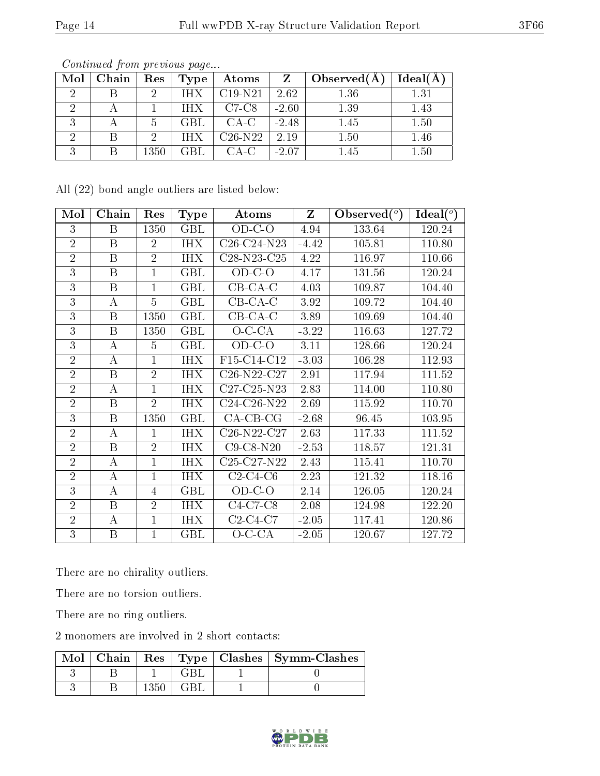| Mol | Chain | Res  | Type       | Atoms     | Z       | Observe d(A) | Ideal(A) |
|-----|-------|------|------------|-----------|---------|--------------|----------|
|     |       |      | <b>THX</b> | $C19-N21$ | 2.62    | 1.36         | 1.31     |
|     |       |      | TH X       | $C7-C8$   | $-2.60$ | 1.39         | 1.43     |
| IJ  |       | h    | <b>GBL</b> | $CA-C$    | $-2.48$ | 1.45         | 1.50     |
|     |       |      | IHX        | $C26-N22$ | 2.19    | 1.50         | 1.46     |
|     |       | 1350 | GBL        | CA-C      | $-2.07$ | 1.45         | $1.50\,$ |

Continued from previous page...

All (22) bond angle outliers are listed below:

| Mol            | Chain                   | Res            | <b>Type</b>             | Atoms                                             | $\mathbf{Z}$ | Observed $(°)$ | Ideal $(^\circ)$ |
|----------------|-------------------------|----------------|-------------------------|---------------------------------------------------|--------------|----------------|------------------|
| 3              | B                       | 1350           | <b>GBL</b>              | $OD-C-O$                                          | 4.94         | 133.64         | 120.24           |
| $\overline{2}$ | B                       | $\overline{2}$ | <b>IHX</b>              | C26-C24-N23                                       | $-4.42$      | 105.81         | 110.80           |
| $\overline{2}$ | B                       | $\overline{2}$ | <b>IHX</b>              | C <sub>28</sub> -N <sub>23</sub> -C <sub>25</sub> | 4.22         | 116.97         | 110.66           |
| $\overline{3}$ | $\overline{\mathbf{B}}$ | $\mathbf{1}$   | $\overline{\text{GBL}}$ | $OD-C-O$                                          | 4.17         | 131.56         | 120.24           |
| 3              | B                       | $\mathbf{1}$   | $\operatorname{GBL}$    | $CB-CA-C$                                         | 4.03         | 109.87         | 104.40           |
| $\overline{3}$ | А                       | 5              | $\operatorname{GBL}$    | $CB$ - $CA$ - $C$                                 | 3.92         | 109.72         | 104.40           |
| 3              | B                       | 1350           | GBL                     | $CB-CA-C$                                         | 3.89         | 109.69         | 104.40           |
| 3              | B                       | 1350           | <b>GBL</b>              | $O-C-CA$                                          | $-3.22$      | 116.63         | 127.72           |
| $\overline{3}$ | А                       | $\overline{5}$ | <b>GBL</b>              | $OD-C-O$                                          | 3.11         | 128.66         | 120.24           |
| $\overline{2}$ | $\overline{A}$          | $\mathbf{1}$   | <b>IHX</b>              | F15-C14-C12                                       | $-3.03$      | 106.28         | 112.93           |
| $\overline{2}$ | B                       | $\overline{2}$ | <b>IHX</b>              | C <sub>26</sub> -N <sub>22</sub> -C <sub>27</sub> | 2.91         | 117.94         | 111.52           |
| $\overline{2}$ | А                       | $\mathbf{1}$   | <b>IHX</b>              | $C27-C25-N23$                                     | 2.83         | 114.00         | 110.80           |
| $\overline{2}$ | B                       | $\overline{2}$ | <b>IHX</b>              | C24-C26-N22                                       | 2.69         | 115.92         | 110.70           |
| 3              | B                       | 1350           | <b>GBL</b>              | $CA-CB-CG$                                        | $-2.68$      | 96.45          | 103.95           |
| $\overline{2}$ | А                       | $\mathbf{1}$   | <b>IHX</b>              | C <sub>26</sub> -N <sub>22</sub> -C <sub>27</sub> | 2.63         | 117.33         | 111.52           |
| $\overline{2}$ | B                       | $\overline{2}$ | <b>IHX</b>              | $C9$ -C8-N20                                      | $-2.53$      | 118.57         | 121.31           |
| $\overline{2}$ | A                       | $\mathbf{1}$   | <b>IHX</b>              | C <sub>25</sub> -C <sub>27</sub> -N <sub>22</sub> | 2.43         | 115.41         | 110.70           |
| $\overline{2}$ | $\boldsymbol{A}$        | $\mathbf{1}$   | <b>IHX</b>              | $C2-C4-C6$                                        | 2.23         | 121.32         | 118.16           |
| 3              | А                       | 4              | $\operatorname{GBL}$    | $OD-C-O$                                          | 2.14         | 126.05         | 120.24           |
| $\overline{2}$ | B                       | $\overline{2}$ | <b>IHX</b>              | $C4-C7-C8$                                        | 2.08         | 124.98         | 122.20           |
| $\overline{2}$ | А                       | 1              | <b>IHX</b>              | $C2-C4-C7$                                        | $-2.05$      | 117.41         | 120.86           |
| 3              | B                       | $\mathbf{1}$   | GBL                     | $O-C-CA$                                          | $-2.05$      | 120.67         | 127.72           |

There are no chirality outliers.

There are no torsion outliers.

There are no ring outliers.

2 monomers are involved in 2 short contacts:

|  |  | Mol   Chain   Res   Type   Clashes   Symm-Clashes |
|--|--|---------------------------------------------------|
|  |  |                                                   |
|  |  |                                                   |

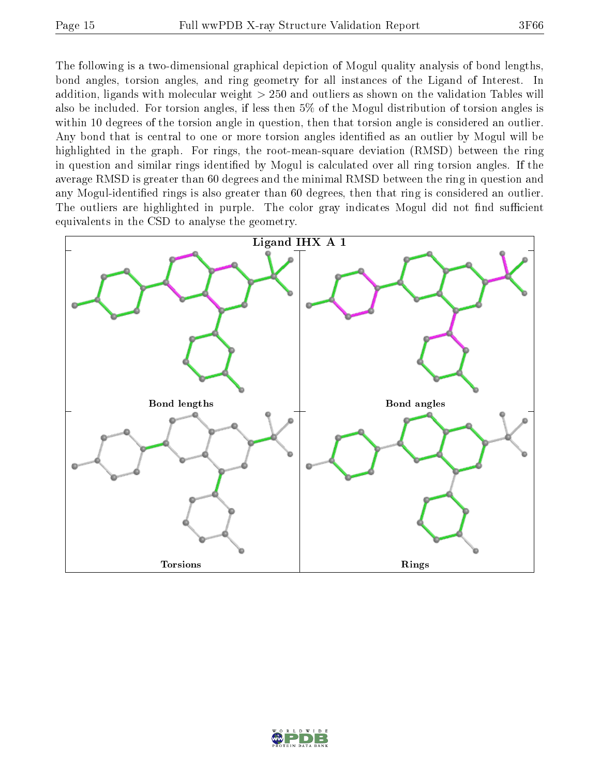The following is a two-dimensional graphical depiction of Mogul quality analysis of bond lengths, bond angles, torsion angles, and ring geometry for all instances of the Ligand of Interest. In addition, ligands with molecular weight > 250 and outliers as shown on the validation Tables will also be included. For torsion angles, if less then 5% of the Mogul distribution of torsion angles is within 10 degrees of the torsion angle in question, then that torsion angle is considered an outlier. Any bond that is central to one or more torsion angles identified as an outlier by Mogul will be highlighted in the graph. For rings, the root-mean-square deviation (RMSD) between the ring in question and similar rings identified by Mogul is calculated over all ring torsion angles. If the average RMSD is greater than 60 degrees and the minimal RMSD between the ring in question and any Mogul-identified rings is also greater than 60 degrees, then that ring is considered an outlier. The outliers are highlighted in purple. The color gray indicates Mogul did not find sufficient equivalents in the CSD to analyse the geometry.



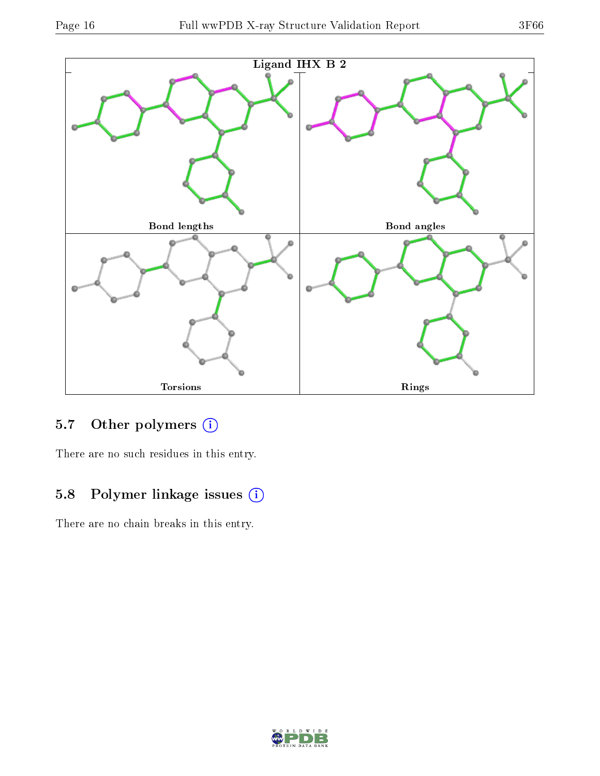



## 5.7 [O](https://www.wwpdb.org/validation/2017/XrayValidationReportHelp#nonstandard_residues_and_ligands)ther polymers (i)

There are no such residues in this entry.

## 5.8 Polymer linkage issues (i)

There are no chain breaks in this entry.

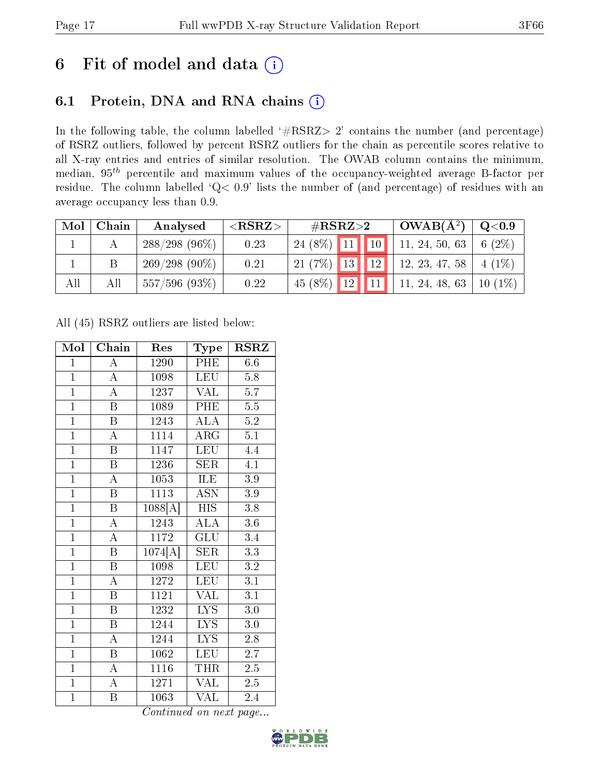# 6 Fit of model and data  $(i)$

### 6.1 Protein, DNA and RNA chains  $(i)$

In the following table, the column labelled  $#RSRZ> 2'$  contains the number (and percentage) of RSRZ outliers, followed by percent RSRZ outliers for the chain as percentile scores relative to all X-ray entries and entries of similar resolution. The OWAB column contains the minimum, median,  $95<sup>th</sup>$  percentile and maximum values of the occupancy-weighted average B-factor per residue. The column labelled ' $Q< 0.9$ ' lists the number of (and percentage) of residues with an average occupancy less than 0.9.

| Mol | Chain | Analysed           | ${ <\hspace{-1.5pt}{\mathrm{RSRZ}} \hspace{-1.5pt}>}$ | $\#\text{RSRZ}{>}2$ |  | $\perp$ OWAB( $\rm \AA^2)$ ) | $\rm Q\textcolor{black}{<}0.9$ |
|-----|-------|--------------------|-------------------------------------------------------|---------------------|--|------------------------------|--------------------------------|
|     |       | $288/298(96\%)$    | 0.23                                                  |                     |  | 24 (8%) 11 10 11, 24, 50, 63 | $6(2\%)$                       |
|     |       | $269/298(90\%)$    | 0.21                                                  |                     |  | 21 (7%) 13 12 12, 23, 47, 58 | $4(1\%)$                       |
| All | All   | $557/596$ $(93\%)$ | 0.22                                                  | $45(8\%)$ 12 11     |  | 11, 24, 48, 63   10 (1%)     |                                |

All (45) RSRZ outliers are listed below:

| Mol            | Chain                   | Res     | Type                      | $\rm RSRZ$       |
|----------------|-------------------------|---------|---------------------------|------------------|
| $\mathbf{1}$   | A                       | 1290    | PHE                       | 6.6              |
| $\mathbf{1}$   | А                       | 1098    | LEU                       | 5.8              |
| $\overline{1}$ | $\overline{\rm A}$      | 1237    | VAL                       | $\overline{5.7}$ |
| $\overline{1}$ | B                       | 1089    | PHE                       | 5.5              |
| $\overline{1}$ | $\overline{\mathrm{B}}$ | 1243    | <b>ALA</b>                | $\overline{5.2}$ |
| $\overline{1}$ | $\mathbf{A}$            | 1114    | $\rm{ARG}$                | 5.1              |
| $\overline{1}$ | B                       | 1147    | <b>LEU</b>                | 4.4              |
| $\overline{1}$ | $\boldsymbol{B}$        | 1236    | <b>SER</b>                | 4.1              |
| $\overline{1}$ | $\overline{\rm A}$      | 1053    | ILE                       | 3.9              |
| $\overline{1}$ | $\overline{\mathrm{B}}$ | 1113    | $\overline{\mathrm{ASN}}$ | 3.9              |
| $\overline{1}$ | B                       | 1088[A] | <b>HIS</b>                | 3.8              |
| $\overline{1}$ | $\overline{A}$          | 1243    | $\overline{\rm ALA}$      | $3.6\,$          |
| $\overline{1}$ | $\overline{\rm A}$      | 1172    | GLU                       | 3.4              |
| $\overline{1}$ | $\overline{B}$          | 1074[A] | <b>SER</b>                | 3.3              |
| $\overline{1}$ | $\overline{B}$          | 1098    | <b>LEU</b>                | $\overline{3.2}$ |
| $\overline{1}$ | $\overline{A}$          | 1272    | <b>LEU</b>                | 3.1              |
| $\overline{1}$ | $\overline{\mathrm{B}}$ | 1121    | $\overline{\text{VAL}}$   | 3.1              |
| $\mathbf{1}$   | $\boldsymbol{B}$        | 1232    | <b>LYS</b>                | $3.0\,$          |
| $\overline{1}$ | $\, {\bf B}$            | 1244    | <b>LYS</b>                | $3.0\,$          |
| $\overline{1}$ | A                       | 1244    | <b>LYS</b>                | 2.8              |
| $\overline{1}$ | $\, {\bf B}$            | 1062    | <b>LEU</b>                | 2.7              |
| $\overline{1}$ | А                       | 1116    | THR                       | 2.5              |
| $\overline{1}$ | $\bf{A}$                | 1271    | $\overline{\text{VAL}}$   | 2.5              |
| $\mathbf{1}$   | $\boldsymbol{B}$        | 1063    | VAL                       | 2.4              |

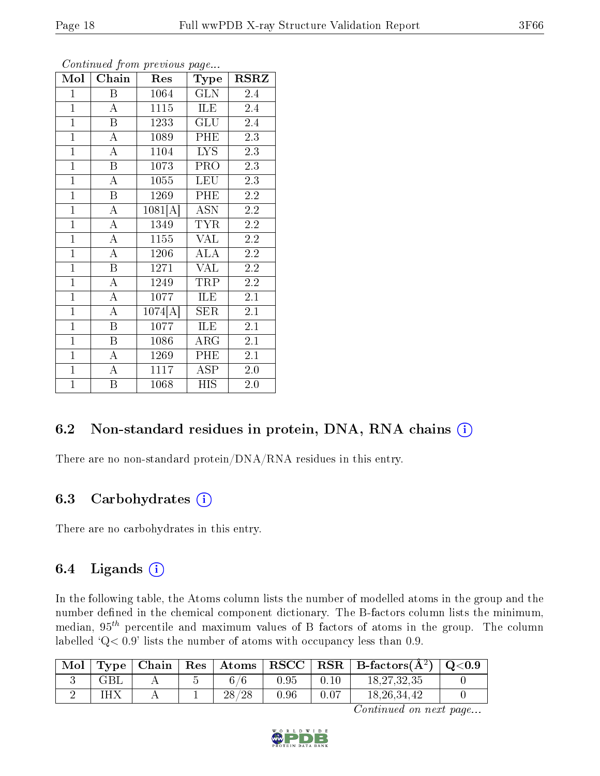| Mol            | Chain              | Res      | <b>Type</b> | <b>RSRZ</b>      |
|----------------|--------------------|----------|-------------|------------------|
| $\mathbf{1}$   | B                  | 1064     | <b>GLN</b>  | 2.4              |
| $\overline{1}$ | $\boldsymbol{A}$   | 1115     | ILE         | 2.4              |
| $\overline{1}$ | B                  | 1233     | GLU         | 2.4              |
| $\overline{1}$ | $\boldsymbol{A}$   | 1089     | PHE         | $\overline{2.3}$ |
| $\overline{1}$ | $\overline{\rm A}$ | 1104     | <b>LYS</b>  | 2.3              |
| $\mathbf{1}$   | B                  | 1073     | PRO         | 2.3              |
| $\overline{1}$ | $\bf{A}$           | 1055     | <b>LEU</b>  | 2.3              |
| $\overline{1}$ | $\overline{B}$     | 1269     | PHE         | 2.2              |
| $\mathbf{1}$   | $\bf{A}$           | 1081[A]  | <b>ASN</b>  | 2.2              |
| $\overline{1}$ | $\overline{A}$     | 1349     | <b>TYR</b>  | 2.2              |
| $\mathbf{1}$   | $\overline{A}$     | $1155\,$ | <b>VAL</b>  | 2.2              |
| $\mathbf{1}$   | $\overline{\rm A}$ | 1206     | ALA         | 2.2              |
| $\overline{1}$ | $\overline{B}$     | 1271     | <b>VAL</b>  | 2.2              |
| $\mathbf{1}$   | $\boldsymbol{A}$   | 1249     | TRP         | 2.2              |
| $\overline{1}$ | $\bf{A}$           | 1077     | ILE         | 2.1              |
| $\overline{1}$ | $\boldsymbol{A}$   | 1074[A]  | <b>SER</b>  | 2.1              |
| $\overline{1}$ | $\mathbf B$        | 1077     | ILE         | 2.1              |
| $\mathbf{1}$   | Β                  | 1086     | $\rm{ARG}$  | 2.1              |
| $\overline{1}$ | А                  | 1269     | PHE         | 2.1              |
| $\overline{1}$ | $\boldsymbol{A}$   | 1117     | <b>ASP</b>  | $2.0\,$          |
| $\overline{1}$ | B                  | 1068     | <b>HIS</b>  | $2.0\,$          |

Continued from previous page...

### 6.2 Non-standard residues in protein, DNA, RNA chains (i)

There are no non-standard protein/DNA/RNA residues in this entry.

### 6.3 Carbohydrates (i)

There are no carbohydrates in this entry.

### 6.4 Ligands  $(i)$

In the following table, the Atoms column lists the number of modelled atoms in the group and the number defined in the chemical component dictionary. The B-factors column lists the minimum, median,  $95<sup>th</sup>$  percentile and maximum values of B factors of atoms in the group. The column labelled  $Q < 0.9$ ' lists the number of atoms with occupancy less than 0.9.

| Mol | Type | Chain | $\operatorname{Res}$ | $\Delta t$ oms | $_+$ $\bf RSCC$ $\perp$ |      | $R$ RSR $\parallel$ B-factors( $\AA$ <sup>2</sup> ) | $^{\circ}$ Q<0.9 $^{\circ}$ |
|-----|------|-------|----------------------|----------------|-------------------------|------|-----------------------------------------------------|-----------------------------|
|     |      |       |                      | $\sim$         | 0.95                    | 0.10 | 18, 27, 32, 35                                      |                             |
|     | IH X |       |                      | 28<br>/28      | 0.96                    | 0.07 | 18, 26, 34, 42                                      |                             |

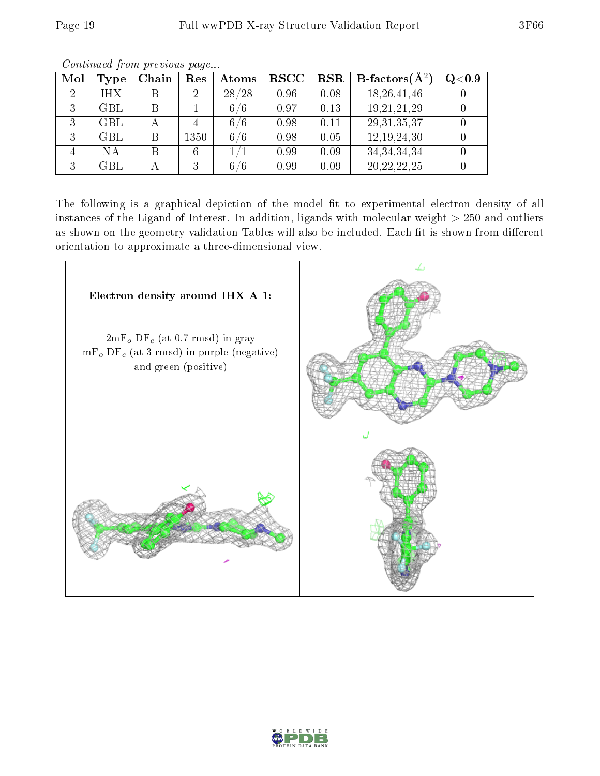| Mol            | Type                 | Chain | $\operatorname{Res}% \left( \mathcal{N}\right) \equiv\operatorname{Res}(\mathcal{N}_{0})\cap\mathcal{N}_{1}$ | Atoms | $_{\rm RSCC}$ | <b>RSR</b> | <b>B</b> -factors( $\overline{A^2}$ ) | Q <sub>0.9</sub> |
|----------------|----------------------|-------|--------------------------------------------------------------------------------------------------------------|-------|---------------|------------|---------------------------------------|------------------|
| $\overline{2}$ | IHX                  |       | $\overline{2}$                                                                                               | 28/28 | 0.96          | 0.08       | 18, 26, 41, 46                        |                  |
| 3              | GBL                  |       |                                                                                                              | 6/6   | 0.97          | 0.13       | 19, 21, 21, 29                        |                  |
| 3              | GBL                  |       | 4                                                                                                            | 6/6   | 0.98          | 0.11       | 29, 31, 35, 37                        |                  |
| 9              | GBL                  | В     | 1350                                                                                                         | 6/6   | 0.98          | 0.05       | 12, 19, 24, 30                        |                  |
|                | ΝA                   | В     | 6                                                                                                            |       | 0.99          | 0.09       | 34, 34, 34, 34                        |                  |
| ച              | $\operatorname{GBL}$ |       | 3                                                                                                            | 6/6   | 0.99          | 0.09       | 20, 22, 22, 25                        |                  |

Continued from previous page...

The following is a graphical depiction of the model fit to experimental electron density of all instances of the Ligand of Interest. In addition, ligands with molecular weight  $> 250$  and outliers as shown on the geometry validation Tables will also be included. Each fit is shown from different orientation to approximate a three-dimensional view.